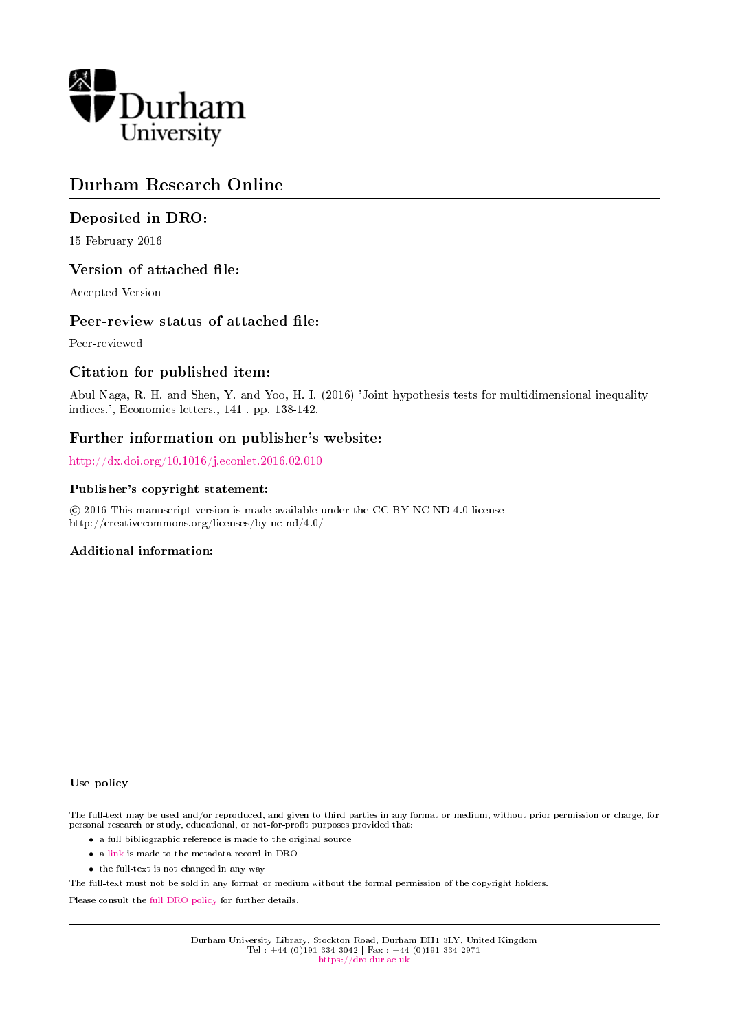

# Durham Research Online

# Deposited in DRO:

15 February 2016

### Version of attached file:

Accepted Version

### Peer-review status of attached file:

Peer-reviewed

### Citation for published item:

Abul Naga, R. H. and Shen, Y. and Yoo, H. I. (2016) 'Joint hypothesis tests for multidimensional inequality indices.', Economics letters., 141 . pp. 138-142.

### Further information on publisher's website:

<http://dx.doi.org/10.1016/j.econlet.2016.02.010>

#### Publisher's copyright statement:

 c 2016 This manuscript version is made available under the CC-BY-NC-ND 4.0 license http://creativecommons.org/licenses/by-nc-nd/4.0/

#### Additional information:

Use policy

The full-text may be used and/or reproduced, and given to third parties in any format or medium, without prior permission or charge, for personal research or study, educational, or not-for-profit purposes provided that:

- a full bibliographic reference is made to the original source
- a [link](http://dro.dur.ac.uk/17563/) is made to the metadata record in DRO
- the full-text is not changed in any way

The full-text must not be sold in any format or medium without the formal permission of the copyright holders.

Please consult the [full DRO policy](https://dro.dur.ac.uk/policies/usepolicy.pdf) for further details.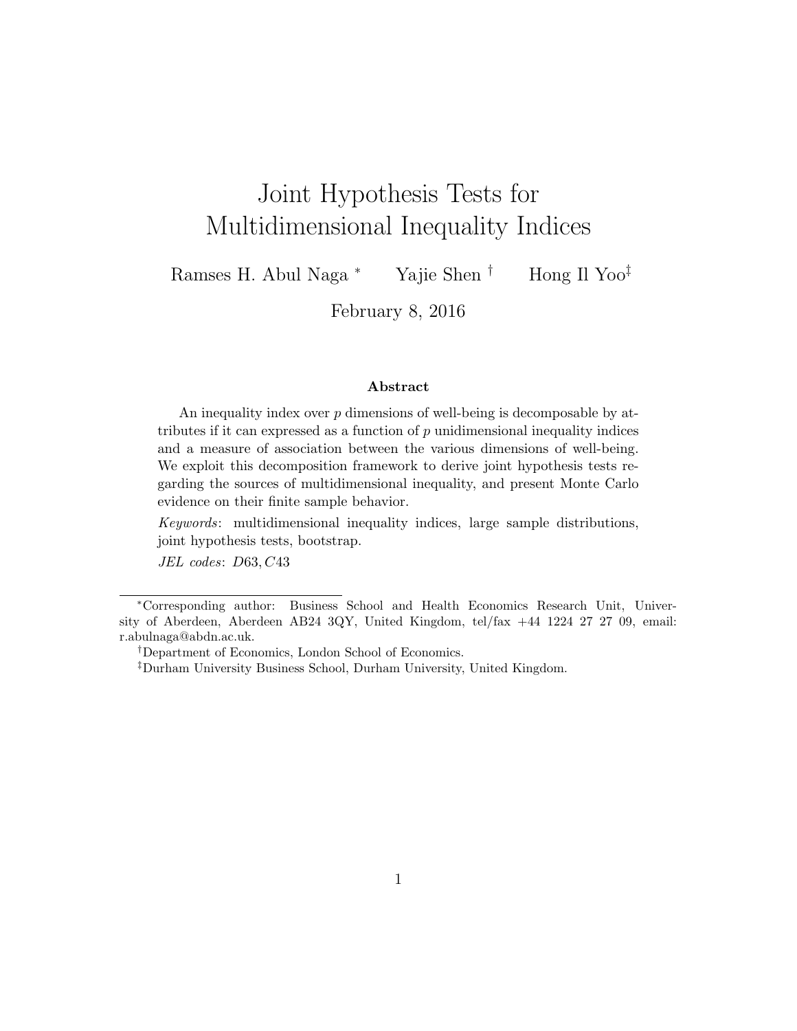# Joint Hypothesis Tests for Multidimensional Inequality Indices

Ramses H. Abul Naga <sup>∗</sup> Yajie Shen † Hong Il Yoo‡

February 8, 2016

#### Abstract

An inequality index over p dimensions of well-being is decomposable by attributes if it can expressed as a function of  $p$  unidimensional inequality indices and a measure of association between the various dimensions of well-being. We exploit this decomposition framework to derive joint hypothesis tests regarding the sources of multidimensional inequality, and present Monte Carlo evidence on their finite sample behavior.

Keywords: multidimensional inequality indices, large sample distributions, joint hypothesis tests, bootstrap.

JEL codes: D63, C43

<sup>∗</sup>Corresponding author: Business School and Health Economics Research Unit, University of Aberdeen, Aberdeen AB24 3QY, United Kingdom, tel/fax +44 1224 27 27 09, email: r.abulnaga@abdn.ac.uk.

<sup>†</sup>Department of Economics, London School of Economics.

<sup>‡</sup>Durham University Business School, Durham University, United Kingdom.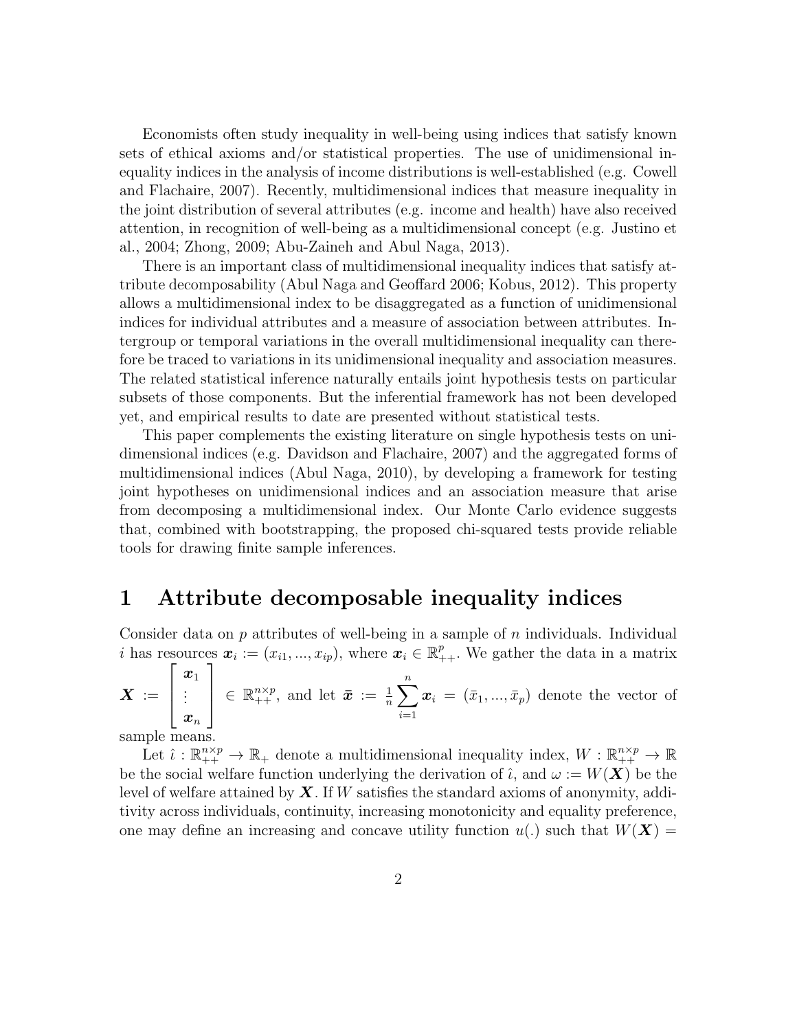Economists often study inequality in well-being using indices that satisfy known sets of ethical axioms and/or statistical properties. The use of unidimensional inequality indices in the analysis of income distributions is well-established (e.g. Cowell and Flachaire, 2007). Recently, multidimensional indices that measure inequality in the joint distribution of several attributes (e.g. income and health) have also received attention, in recognition of well-being as a multidimensional concept (e.g. Justino et al., 2004; Zhong, 2009; Abu-Zaineh and Abul Naga, 2013).

There is an important class of multidimensional inequality indices that satisfy attribute decomposability (Abul Naga and Geoffard 2006; Kobus, 2012). This property allows a multidimensional index to be disaggregated as a function of unidimensional indices for individual attributes and a measure of association between attributes. Intergroup or temporal variations in the overall multidimensional inequality can therefore be traced to variations in its unidimensional inequality and association measures. The related statistical inference naturally entails joint hypothesis tests on particular subsets of those components. But the inferential framework has not been developed yet, and empirical results to date are presented without statistical tests.

This paper complements the existing literature on single hypothesis tests on unidimensional indices (e.g. Davidson and Flachaire, 2007) and the aggregated forms of multidimensional indices (Abul Naga, 2010), by developing a framework for testing joint hypotheses on unidimensional indices and an association measure that arise from decomposing a multidimensional index. Our Monte Carlo evidence suggests that, combined with bootstrapping, the proposed chi-squared tests provide reliable tools for drawing finite sample inferences.

# 1 Attribute decomposable inequality indices

Consider data on  $p$  attributes of well-being in a sample of  $n$  individuals. Individual *i* has resources  $\boldsymbol{x}_i := (x_{i1}, ..., x_{ip}),$  where  $\boldsymbol{x}_i \in \mathbb{R}_{++}^p$ . We gather the data in a matrix

$$
\boldsymbol{X}\,:=\,\left[\begin{array}{c}\boldsymbol{x}_1\\\vdots\\ \boldsymbol{x}_n\end{array}\right]\,\in\,\mathbb{R}_{++}^{n\times p},\;\text{and let }\,\bar{\boldsymbol{x}}\,:=\,\frac{1}{n}\sum_{i=1}^n\boldsymbol{x}_i\,=\,(\bar{x}_1,...,\bar{x}_p)\,\text{ denote the vector of }
$$

sample means.

Let  $\hat{\iota}: \mathbb{R}_{++}^{n \times p} \to \mathbb{R}_+$  denote a multidimensional inequality index,  $W: \mathbb{R}_{++}^{n \times p} \to \mathbb{R}$ be the social welfare function underlying the derivation of  $\hat{\iota}$ , and  $\omega := W(\mathbf{X})$  be the level of welfare attained by  $\boldsymbol{X}$ . If W satisfies the standard axioms of anonymity, additivity across individuals, continuity, increasing monotonicity and equality preference, one may define an increasing and concave utility function  $u(.)$  such that  $W(X) =$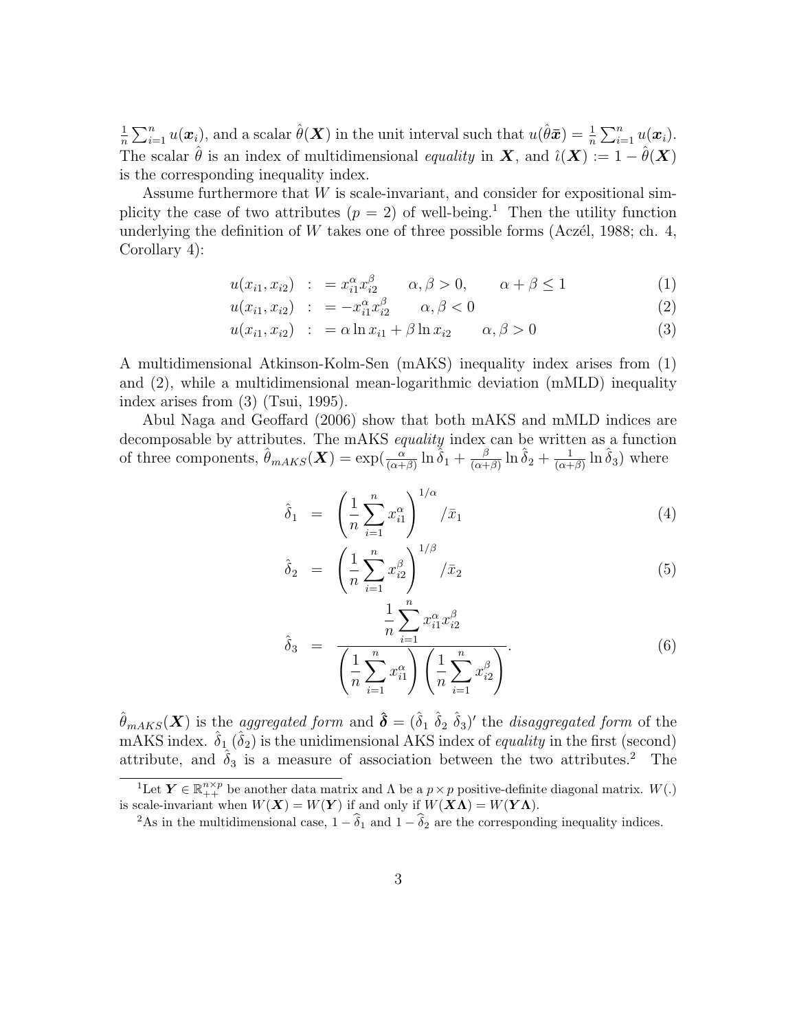1  $\frac{1}{n}\sum_{i=1}^n u(\boldsymbol{x}_i)$ , and a scalar  $\hat{\theta}(\boldsymbol{X})$  in the unit interval such that  $u(\hat{\theta}\bar{\boldsymbol{x}}) = \frac{1}{n}\sum_{i=1}^n u(\boldsymbol{x}_i)$ . The scalar  $\hat{\theta}$  is an index of multidimensional equality in  $\mathbf{X}$ , and  $\hat{\iota}(\mathbf{X}) := 1 - \hat{\theta}(\mathbf{X})$ is the corresponding inequality index.

Assume furthermore that W is scale-invariant, and consider for expositional simplicity the case of two attributes  $(p = 2)$  of well-being.<sup>1</sup> Then the utility function underlying the definition of  $W$  takes one of three possible forms (Aczél, 1988; ch. 4, Corollary 4):

$$
u(x_{i1}, x_{i2}) \quad : \quad = x_{i1}^{\alpha} x_{i2}^{\beta} \qquad \alpha, \beta > 0, \qquad \alpha + \beta \le 1 \tag{1}
$$

$$
u(x_{i1}, x_{i2}) \quad : \quad = -x_{i1}^{\alpha} x_{i2}^{\beta} \qquad \alpha, \beta < 0 \tag{2}
$$

$$
u(x_{i1}, x_{i2}) : = \alpha \ln x_{i1} + \beta \ln x_{i2} \qquad \alpha, \beta > 0 \tag{3}
$$

A multidimensional Atkinson-Kolm-Sen (mAKS) inequality index arises from (1) and (2), while a multidimensional mean-logarithmic deviation (mMLD) inequality index arises from (3) (Tsui, 1995).

Abul Naga and Geoffard (2006) show that both mAKS and mMLD indices are decomposable by attributes. The mAKS equality index can be written as a function of three components,  $\hat{\theta}_{mAKS}(\boldsymbol{X}) = \exp(\frac{\alpha}{(\alpha+\beta)}\ln \hat{\delta}_1 + \frac{\beta}{(\alpha+\beta)}$  $\frac{\beta}{(\alpha+\beta)}\ln\hat{\delta}_2+\frac{1}{(\alpha+\beta)}$  $\frac{1}{(\alpha+\beta)}\ln\hat{\delta}_3$ ) where

$$
\hat{\delta}_1 = \left(\frac{1}{n}\sum_{i=1}^n x_{i1}^{\alpha}\right)^{1/\alpha} / \bar{x}_1 \tag{4}
$$

$$
\hat{\delta}_2 = \left( \frac{1}{n} \sum_{i=1}^n x_{i2}^{\beta} \right)^{1/\beta} / \bar{x}_2 \tag{5}
$$

$$
\hat{\delta}_3 = \frac{\frac{1}{n} \sum_{i=1}^n x_{i1}^\alpha x_{i2}^\beta}{\left(\frac{1}{n} \sum_{i=1}^n x_{i1}^\alpha\right) \left(\frac{1}{n} \sum_{i=1}^n x_{i2}^\beta\right)}.
$$
\n(6)

 $\hat{\theta}_{mAKS}(\bm{X})$  is the *aggregated form* and  $\hat{\bm{\delta}} = (\hat{\delta}_1 \ \hat{\delta}_2 \ \hat{\delta}_3)'$  the *disaggregated form* of the mAKS index.  $\hat{\delta}_1$  ( $\hat{\delta}_2$ ) is the unidimensional AKS index of *equality* in the first (second) attribute, and  $\hat{\delta}_3$  is a measure of association between the two attributes.<sup>2</sup> The

<sup>&</sup>lt;sup>1</sup>Let  $Y \in \mathbb{R}_{++}^{n \times p}$  be another data matrix and  $\Lambda$  be a  $p \times p$  positive-definite diagonal matrix.  $W(.)$ is scale-invariant when  $W(X) = W(Y)$  if and only if  $W(X\Lambda) = W(Y\Lambda)$ .

<sup>&</sup>lt;sup>2</sup>As in the multidimensional case,  $1 - \hat{\delta}_1$  and  $1 - \hat{\delta}_2$  are the corresponding inequality indices.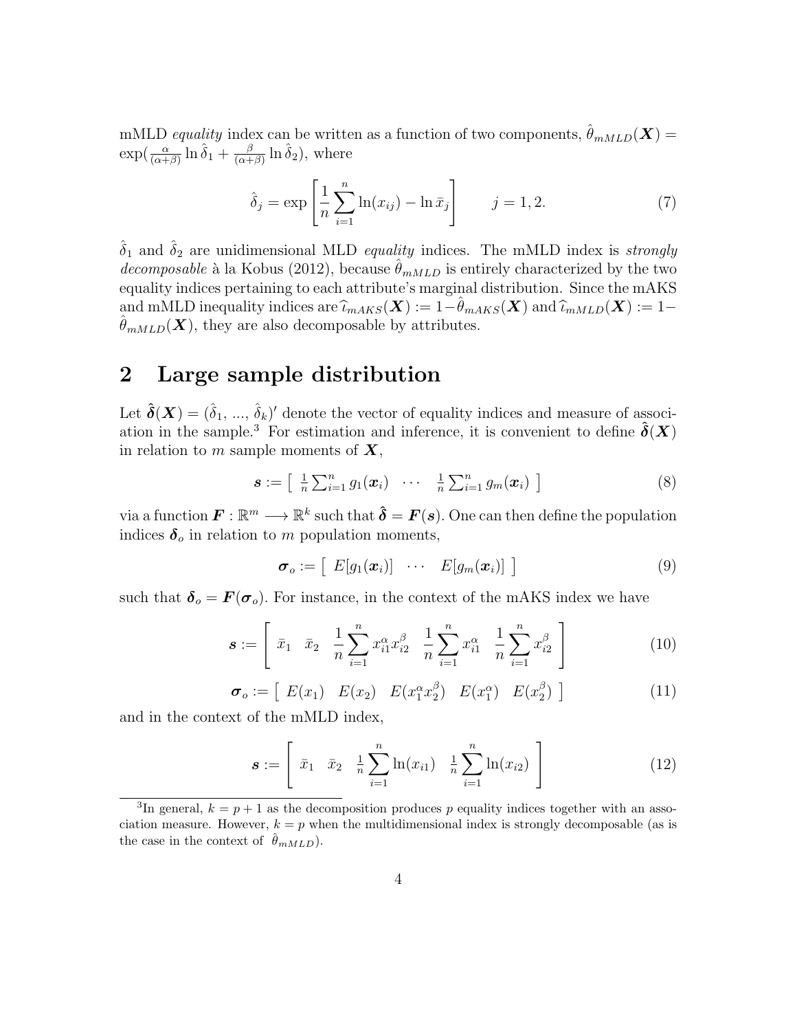mMLD equality index can be written as a function of two components,  $\hat{\theta}_{mMLD}(\boldsymbol{X}) =$  $\exp(\frac{\alpha}{(\alpha+\beta)}\ln\hat{\delta}_1+\frac{\beta}{(\alpha+\beta)}$  $\frac{\beta}{(\alpha+\beta)}\ln \hat{\delta}_2$ , where

$$
\hat{\delta}_j = \exp\left[\frac{1}{n}\sum_{i=1}^n \ln(x_{ij}) - \ln \bar{x}_j\right] \qquad j = 1, 2. \tag{7}
$$

 $\hat{\delta}_1$  and  $\hat{\delta}_2$  are unidimensional MLD *equality* indices. The mMLD index is *strongly* decomposable à la Kobus (2012), because  $\theta_{mMLD}$  is entirely characterized by the two equality indices pertaining to each attribute's marginal distribution. Since the mAKS and mMLD inequality indices are  $\widehat{\iota}_{mAKS}(\boldsymbol{X}) := 1-\widehat{\theta}_{mAKS}(\boldsymbol{X})$  and  $\widehat{\iota}_{mMLD}(\boldsymbol{X}) := 1-\widehat{\theta}_{mAKS}(\boldsymbol{X})$  $\theta_{mMLD}(\boldsymbol{X})$ , they are also decomposable by attributes.

# 2 Large sample distribution

Let  $\hat{\boldsymbol{\delta}}(\boldsymbol{X}) = (\hat{\delta}_1, ..., \hat{\delta}_k)'$  denote the vector of equality indices and measure of association in the sample.<sup>3</sup> For estimation and inference, it is convenient to define  $\hat{\delta}(X)$ in relation to m sample moments of  $X$ ,

$$
\boldsymbol{s} := \left[ \begin{array}{ccc} \frac{1}{n} \sum_{i=1}^{n} g_1(\boldsymbol{x}_i) & \cdots & \frac{1}{n} \sum_{i=1}^{n} g_m(\boldsymbol{x}_i) \end{array} \right] \tag{8}
$$

via a function  $\mathbf{F} : \mathbb{R}^m \longrightarrow \mathbb{R}^k$  such that  $\hat{\boldsymbol{\delta}} = \mathbf{F}(\boldsymbol{s})$ . One can then define the population indices  $\delta_o$  in relation to m population moments,

$$
\boldsymbol{\sigma}_o := \left[ \begin{array}{ccc} E[g_1(\boldsymbol{x}_i)] & \cdots & E[g_m(\boldsymbol{x}_i)] \end{array} \right] \tag{9}
$$

such that  $\delta_o = F(\sigma_o)$ . For instance, in the context of the mAKS index we have

$$
\boldsymbol{s} := \left[ \bar{x}_1 \quad \bar{x}_2 \quad \frac{1}{n} \sum_{i=1}^n x_{i1}^\alpha x_{i2}^\beta \quad \frac{1}{n} \sum_{i=1}^n x_{i1}^\alpha \quad \frac{1}{n} \sum_{i=1}^n x_{i2}^\beta \right] \tag{10}
$$

$$
\boldsymbol{\sigma}_{o} := \left[ E(x_1) E(x_2) E(x_1^{\alpha} x_2^{\beta}) E(x_1^{\alpha}) E(x_2^{\beta}) \right]
$$
(11)

and in the context of the mMLD index,

$$
\boldsymbol{s} := \left[ \bar{x}_1 \quad \bar{x}_2 \quad \frac{1}{n} \sum_{i=1}^n \ln(x_{i1}) \quad \frac{1}{n} \sum_{i=1}^n \ln(x_{i2}) \right] \tag{12}
$$

<sup>&</sup>lt;sup>3</sup>In general,  $k = p + 1$  as the decomposition produces p equality indices together with an association measure. However,  $k = p$  when the multidimensional index is strongly decomposable (as is the case in the context of  $\theta_{mMLD}$ ).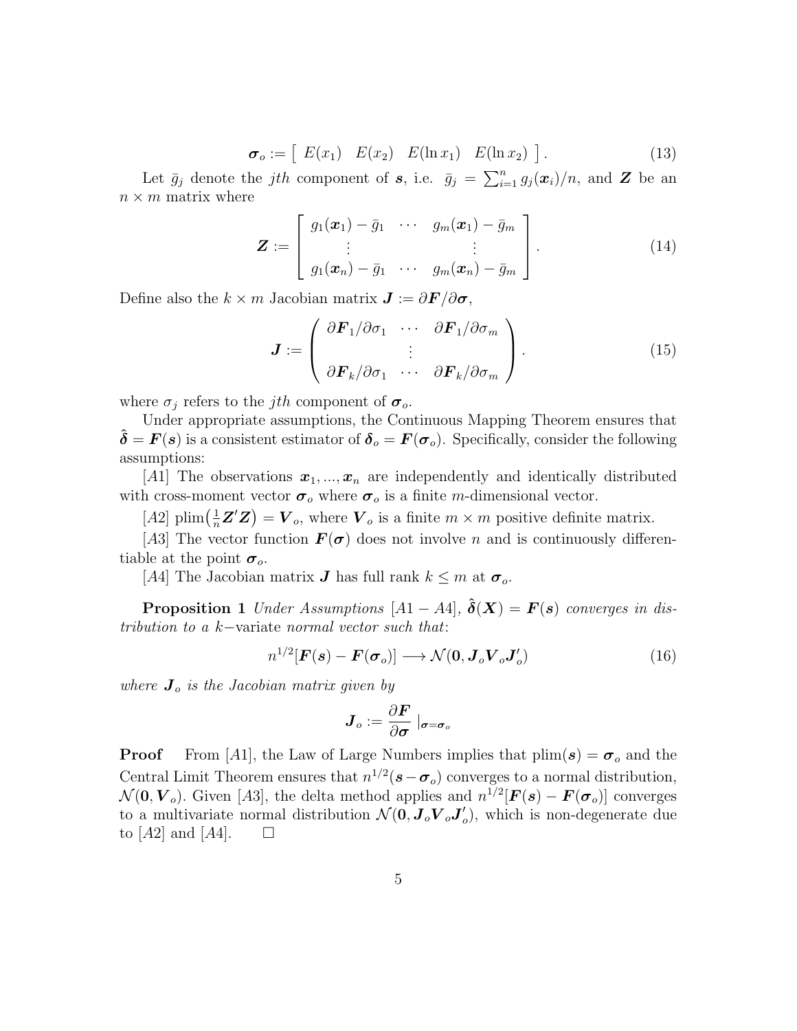$$
\boldsymbol{\sigma}_o := \left[ E(x_1) E(x_2) E(\ln x_1) E(\ln x_2) \right]. \tag{13}
$$

Let  $\bar{g}_j$  denote the *jth* component of s, i.e.  $\bar{g}_j = \sum_{i=1}^n g_j(\bm{x}_i)/n$ , and Z be an  $n \times m$  matrix where

$$
\boldsymbol{Z} := \left[ \begin{array}{ccc} g_1(\boldsymbol{x}_1) - \bar{g}_1 & \cdots & g_m(\boldsymbol{x}_1) - \bar{g}_m \\ \vdots & & \vdots \\ g_1(\boldsymbol{x}_n) - \bar{g}_1 & \cdots & g_m(\boldsymbol{x}_n) - \bar{g}_m \end{array} \right].
$$
 (14)

Define also the  $k \times m$  Jacobian matrix  $\mathbf{J} := \partial \mathbf{F} / \partial \mathbf{\sigma},$ 

$$
\boldsymbol{J} := \begin{pmatrix} \partial \boldsymbol{F}_1 / \partial \sigma_1 & \cdots & \partial \boldsymbol{F}_1 / \partial \sigma_m \\ \vdots & \vdots \\ \partial \boldsymbol{F}_k / \partial \sigma_1 & \cdots & \partial \boldsymbol{F}_k / \partial \sigma_m \end{pmatrix} . \tag{15}
$$

where  $\sigma_j$  refers to the *jth* component of  $\sigma_o$ .

Under appropriate assumptions, the Continuous Mapping Theorem ensures that  $\delta = F(s)$  is a consistent estimator of  $\delta_o = F(\sigma_o)$ . Specifically, consider the following assumptions:

[A1] The observations  $x_1, ..., x_n$  are independently and identically distributed with cross-moment vector  $\sigma_o$  where  $\sigma_o$  is a finite m-dimensional vector.

[A2] plim $(\frac{1}{n}\mathbf{Z}'\mathbf{Z}) = \mathbf{V}_o$ , where  $\mathbf{V}_o$  is a finite  $m \times m$  positive definite matrix.

[A3] The vector function  $\mathbf{F}(\sigma)$  does not involve n and is continuously differentiable at the point  $\sigma_o$ .

[A4] The Jacobian matrix **J** has full rank  $k \leq m$  at  $\sigma_o$ .

**Proposition 1** Under Assumptions  $[A1 - A4]$ ,  $\delta(X) = F(s)$  converges in distribution to a k−variate normal vector such that:

$$
n^{1/2}[\boldsymbol{F}(s) - \boldsymbol{F}(\boldsymbol{\sigma}_o)] \longrightarrow \mathcal{N}(\boldsymbol{0}, \boldsymbol{J}_o \boldsymbol{V}_o \boldsymbol{J}_o') \tag{16}
$$

where  $J_o$  is the Jacobian matrix given by

$$
\boldsymbol{J}_o := \frac{\partial \boldsymbol{F}}{\partial \boldsymbol{\sigma}} \mid_{\boldsymbol{\sigma} = \boldsymbol{\sigma}_o}
$$

**Proof** From [A1], the Law of Large Numbers implies that  $\text{plim}(s) = \sigma_o$  and the Central Limit Theorem ensures that  $n^{1/2}$ ( $s-\sigma_o$ ) converges to a normal distribution,  $\mathcal{N}(\mathbf{0}, \mathbf{V}_o)$ . Given [A3], the delta method applies and  $n^{1/2}[\mathbf{F}(\mathbf{s}) - \mathbf{F}(\boldsymbol{\sigma}_o)]$  converges to a multivariate normal distribution  $\mathcal{N}(\mathbf{0}, \mathbf{J}_o \mathbf{V}_o \mathbf{J}_o^{\prime})$  $\langle$ <sub>o</sub>), which is non-degenerate due to  $[A2]$  and  $[A4]$ .  $\Box$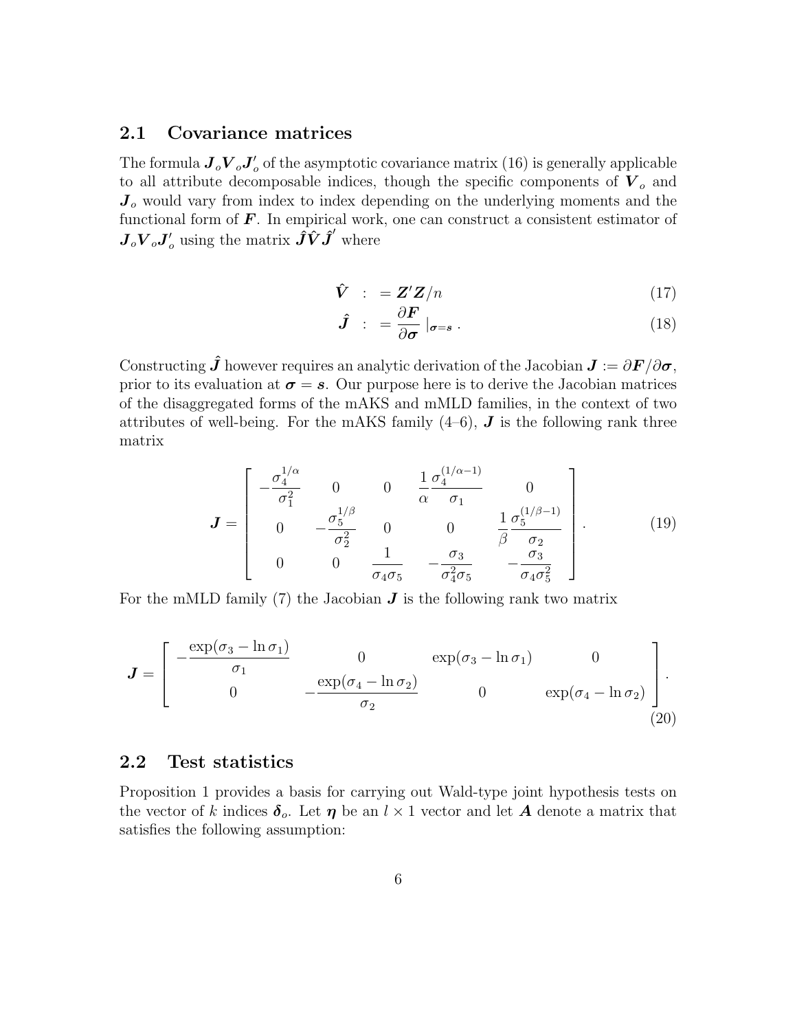### 2.1 Covariance matrices

The formula  $\bm{J}_o \bm{V}_o \bm{J}_o'$  $\sigma'$  of the asymptotic covariance matrix  $(16)$  is generally applicable to all attribute decomposable indices, though the specific components of  $V_o$  and  $J<sub>o</sub>$  would vary from index to index depending on the underlying moments and the functional form of  $\boldsymbol{F}$ . In empirical work, one can construct a consistent estimator of  $\bm{J}_o \bm{V}_o \bm{J}_o^\prime$  using the matrix  $\hat{\bm{J}} \hat{\bm{V}} \hat{\bm{J}}^\prime$  where

$$
\hat{\mathbf{V}} \quad : \quad = \mathbf{Z}' \mathbf{Z}/n \tag{17}
$$

$$
\hat{\bm{J}} \; : \; = \frac{\partial \bm{F}}{\partial \bm{\sigma}} \mid_{\bm{\sigma} = \bm{s}} \, . \tag{18}
$$

Constructing  $\hat{\bm{J}}$  however requires an analytic derivation of the Jacobian  $\bm{J} := \partial \bm{F}/\partial \bm{\sigma}$ , prior to its evaluation at  $\sigma = s$ . Our purpose here is to derive the Jacobian matrices of the disaggregated forms of the mAKS and mMLD families, in the context of two attributes of well-being. For the mAKS family  $(4-6)$ , **J** is the following rank three matrix

$$
\mathbf{J} = \begin{bmatrix} -\frac{\sigma_4^{1/\alpha}}{\sigma_1^2} & 0 & 0 & \frac{1}{\alpha} \frac{\sigma_4^{(1/\alpha-1)}}{\sigma_1} & 0\\ 0 & -\frac{\sigma_5^{1/\beta}}{\sigma_2^2} & 0 & 0 & \frac{1}{\beta} \frac{\sigma_5^{(1/\beta-1)}}{\sigma_2}\\ 0 & 0 & \frac{1}{\sigma_4 \sigma_5} & -\frac{\sigma_3}{\sigma_4^2 \sigma_5} & -\frac{\sigma_3}{\sigma_4 \sigma_5^2} \end{bmatrix} . \tag{19}
$$

For the mMLD family  $(7)$  the Jacobian  $J$  is the following rank two matrix

$$
\boldsymbol{J} = \begin{bmatrix} -\frac{\exp(\sigma_3 - \ln \sigma_1)}{\sigma_1} & 0 & \exp(\sigma_3 - \ln \sigma_1) & 0 \\ 0 & -\frac{\exp(\sigma_4 - \ln \sigma_2)}{\sigma_2} & 0 & \exp(\sigma_4 - \ln \sigma_2) \end{bmatrix} . \tag{20}
$$

# 2.2 Test statistics

Proposition 1 provides a basis for carrying out Wald-type joint hypothesis tests on the vector of k indices  $\delta_o$ . Let  $\eta$  be an  $l \times 1$  vector and let A denote a matrix that satisfies the following assumption: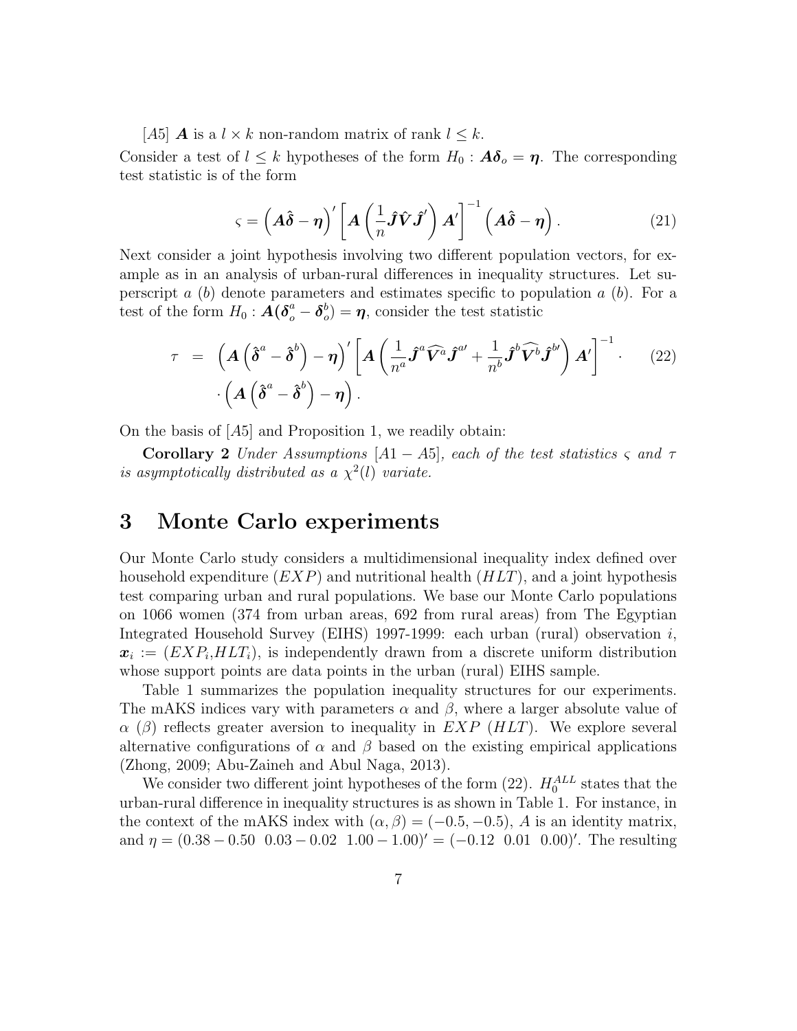[A5] **A** is a  $l \times k$  non-random matrix of rank  $l \leq k$ .

Consider a test of  $l \leq k$  hypotheses of the form  $H_0: A\delta_o = \eta$ . The corresponding test statistic is of the form

$$
\varsigma = \left(A\hat{\delta} - \eta\right)' \left[A\left(\frac{1}{n}\hat{J}\hat{V}\hat{J}'\right)A'\right]^{-1} \left(A\hat{\delta} - \eta\right). \tag{21}
$$

Next consider a joint hypothesis involving two different population vectors, for example as in an analysis of urban-rural differences in inequality structures. Let superscript a  $(b)$  denote parameters and estimates specific to population a  $(b)$ . For a test of the form  $H_0: \boldsymbol{A}(\boldsymbol{\delta}^a_o - \boldsymbol{\delta}^b_o)$  $\mathbf{v}_o^b$  =  $\boldsymbol{\eta}$ , consider the test statistic

$$
\tau = \left( \mathbf{A} \left( \hat{\boldsymbol{\delta}}^a - \hat{\boldsymbol{\delta}}^b \right) - \boldsymbol{\eta} \right)' \left[ \mathbf{A} \left( \frac{1}{n^a} \hat{\boldsymbol{J}}^a \widehat{\boldsymbol{V}}^a \hat{\boldsymbol{J}}^{a'} + \frac{1}{n^b} \hat{\boldsymbol{J}}^b \widehat{\boldsymbol{V}}^b \hat{\boldsymbol{J}}^{b'} \right) \boldsymbol{A}' \right]^{-1} \qquad (22)
$$

$$
\cdot \left( \mathbf{A} \left( \hat{\boldsymbol{\delta}}^a - \hat{\boldsymbol{\delta}}^b \right) - \boldsymbol{\eta} \right).
$$

On the basis of  $[A5]$  and Proposition 1, we readily obtain:

Corollary 2 Under Assumptions  $[A1 - A5]$ , each of the test statistics  $\varsigma$  and  $\tau$ is asymptotically distributed as a  $\chi^2(l)$  variate.

# 3 Monte Carlo experiments

Our Monte Carlo study considers a multidimensional inequality index defined over household expenditure  $(EXP)$  and nutritional health  $(HLT)$ , and a joint hypothesis test comparing urban and rural populations. We base our Monte Carlo populations on 1066 women (374 from urban areas, 692 from rural areas) from The Egyptian Integrated Household Survey (EIHS) 1997-1999: each urban (rural) observation  $i$ ,  $x_i := (EXP_i, HLT_i)$ , is independently drawn from a discrete uniform distribution whose support points are data points in the urban (rural) EIHS sample.

Table 1 summarizes the population inequality structures for our experiments. The mAKS indices vary with parameters  $\alpha$  and  $\beta$ , where a larger absolute value of  $\alpha$  ( $\beta$ ) reflects greater aversion to inequality in EXP (HLT). We explore several alternative configurations of  $\alpha$  and  $\beta$  based on the existing empirical applications (Zhong, 2009; Abu-Zaineh and Abul Naga, 2013).

We consider two different joint hypotheses of the form  $(22)$ .  $H_0^{ALL}$  states that the urban-rural difference in inequality structures is as shown in Table 1. For instance, in the context of the mAKS index with  $(\alpha, \beta) = (-0.5, -0.5)$ , A is an identity matrix, and  $\eta = (0.38 - 0.50 \ 0.03 - 0.02 \ 1.00 - 1.00)' = (-0.12 \ 0.01 \ 0.00)'$ . The resulting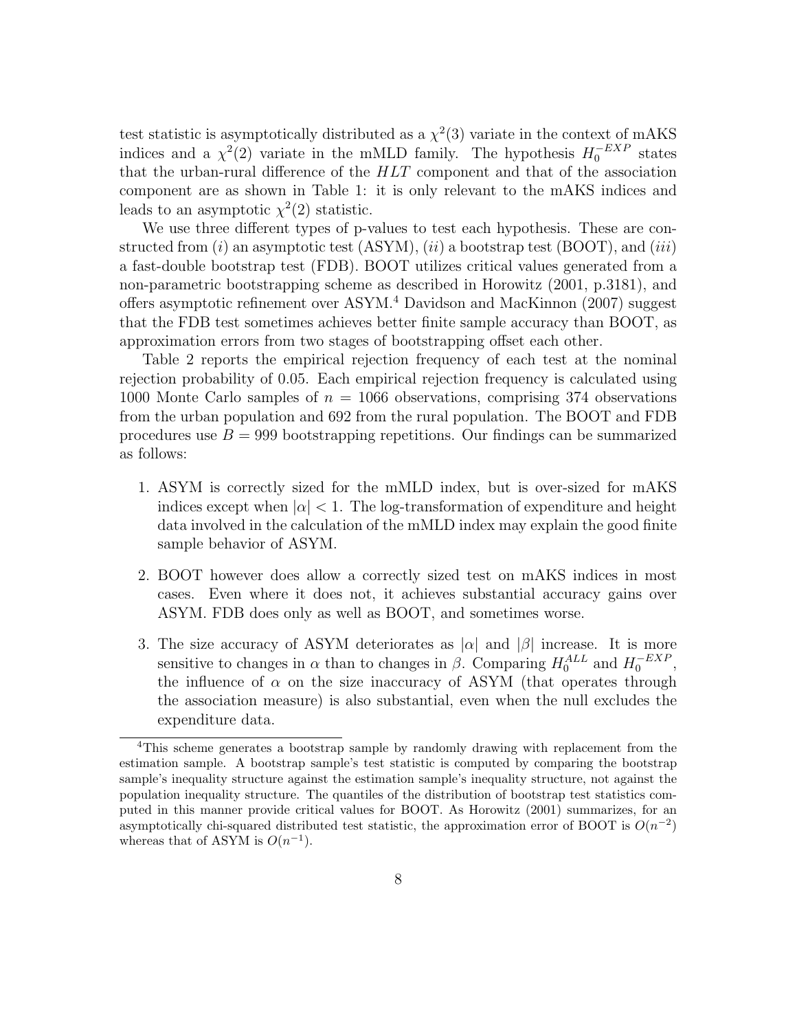test statistic is asymptotically distributed as a  $\chi^2(3)$  variate in the context of mAKS indices and a  $\chi^2(2)$  variate in the mMLD family. The hypothesis  $H_0^{-EXP}$  states that the urban-rural difference of the  $HLT$  component and that of the association component are as shown in Table 1: it is only relevant to the mAKS indices and leads to an asymptotic  $\chi^2(2)$  statistic.

We use three different types of p-values to test each hypothesis. These are constructed from  $(i)$  an asymptotic test  $(ASYM)$ ,  $(ii)$  a bootstrap test  $(BOOT)$ , and  $(iii)$ a fast-double bootstrap test (FDB). BOOT utilizes critical values generated from a non-parametric bootstrapping scheme as described in Horowitz (2001, p.3181), and offers asymptotic refinement over ASYM.<sup>4</sup> Davidson and MacKinnon (2007) suggest that the FDB test sometimes achieves better finite sample accuracy than BOOT, as approximation errors from two stages of bootstrapping offset each other.

Table 2 reports the empirical rejection frequency of each test at the nominal rejection probability of 0.05. Each empirical rejection frequency is calculated using 1000 Monte Carlo samples of  $n = 1066$  observations, comprising 374 observations from the urban population and 692 from the rural population. The BOOT and FDB procedures use  $B = 999$  bootstrapping repetitions. Our findings can be summarized as follows:

- 1. ASYM is correctly sized for the mMLD index, but is over-sized for mAKS indices except when  $|\alpha| < 1$ . The log-transformation of expenditure and height data involved in the calculation of the mMLD index may explain the good finite sample behavior of ASYM.
- 2. BOOT however does allow a correctly sized test on mAKS indices in most cases. Even where it does not, it achieves substantial accuracy gains over ASYM. FDB does only as well as BOOT, and sometimes worse.
- 3. The size accuracy of ASYM deteriorates as  $|\alpha|$  and  $|\beta|$  increase. It is more sensitive to changes in  $\alpha$  than to changes in  $\beta$ . Comparing  $H_0^{ALL}$  and  $H_0^{-EXP}$ , the influence of  $\alpha$  on the size inaccuracy of ASYM (that operates through the association measure) is also substantial, even when the null excludes the expenditure data.

<sup>4</sup>This scheme generates a bootstrap sample by randomly drawing with replacement from the estimation sample. A bootstrap sample's test statistic is computed by comparing the bootstrap sample's inequality structure against the estimation sample's inequality structure, not against the population inequality structure. The quantiles of the distribution of bootstrap test statistics computed in this manner provide critical values for BOOT. As Horowitz (2001) summarizes, for an asymptotically chi-squared distributed test statistic, the approximation error of BOOT is  $O(n^{-2})$ whereas that of ASYM is  $O(n^{-1})$ .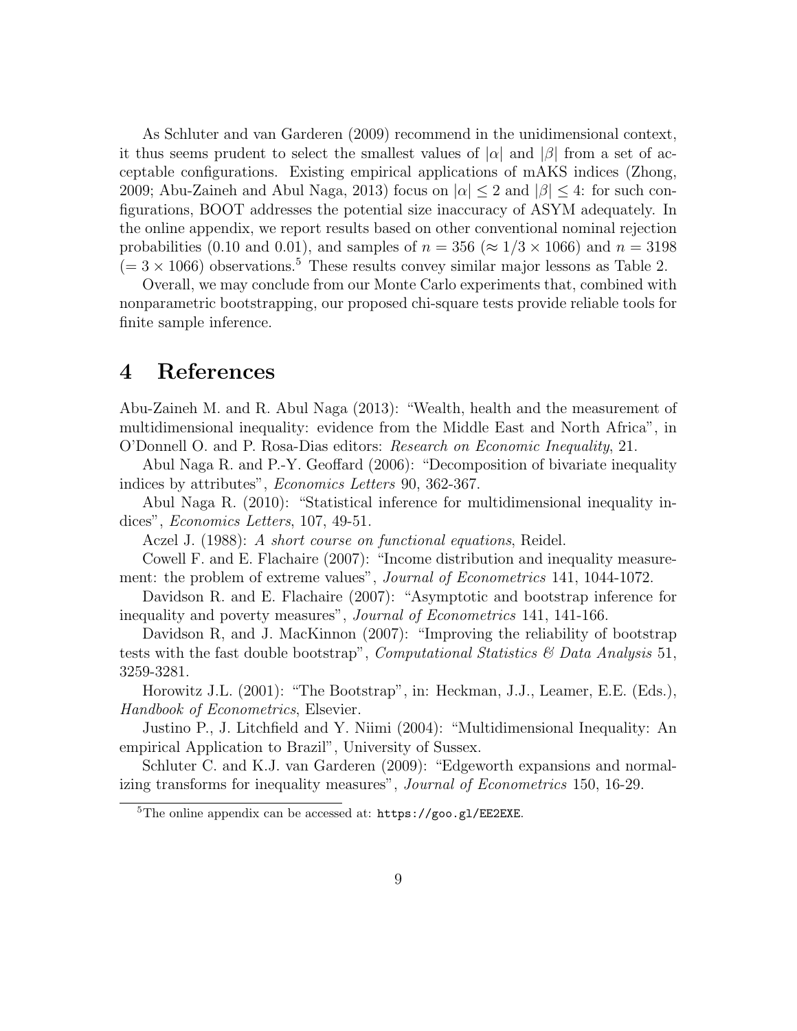As Schluter and van Garderen (2009) recommend in the unidimensional context, it thus seems prudent to select the smallest values of  $|\alpha|$  and  $|\beta|$  from a set of acceptable configurations. Existing empirical applications of mAKS indices (Zhong, 2009; Abu-Zaineh and Abul Naga, 2013) focus on  $|\alpha| \leq 2$  and  $|\beta| \leq 4$ : for such configurations, BOOT addresses the potential size inaccuracy of ASYM adequately. In the online appendix, we report results based on other conventional nominal rejection probabilities (0.10 and 0.01), and samples of  $n = 356 \approx 1/3 \times 1066$ ) and  $n = 3198$  $(= 3 \times 1066)$  observations.<sup>5</sup> These results convey similar major lessons as Table 2.

Overall, we may conclude from our Monte Carlo experiments that, combined with nonparametric bootstrapping, our proposed chi-square tests provide reliable tools for finite sample inference.

# 4 References

Abu-Zaineh M. and R. Abul Naga (2013): "Wealth, health and the measurement of multidimensional inequality: evidence from the Middle East and North Africa", in O'Donnell O. and P. Rosa-Dias editors: Research on Economic Inequality, 21.

Abul Naga R. and P.-Y. Geoffard (2006): "Decomposition of bivariate inequality indices by attributes", Economics Letters 90, 362-367.

Abul Naga R. (2010): "Statistical inference for multidimensional inequality indices", *Economics Letters*, 107, 49-51.

Aczel J. (1988): A short course on functional equations, Reidel.

Cowell F. and E. Flachaire (2007): "Income distribution and inequality measurement: the problem of extreme values", *Journal of Econometrics* 141, 1044-1072.

Davidson R. and E. Flachaire (2007): "Asymptotic and bootstrap inference for inequality and poverty measures", Journal of Econometrics 141, 141-166.

Davidson R, and J. MacKinnon (2007): "Improving the reliability of bootstrap tests with the fast double bootstrap", *Computational Statistics*  $\mathscr{C}$  Data Analysis 51, 3259-3281.

Horowitz J.L. (2001): "The Bootstrap", in: Heckman, J.J., Leamer, E.E. (Eds.), Handbook of Econometrics, Elsevier.

Justino P., J. Litchfield and Y. Niimi (2004): "Multidimensional Inequality: An empirical Application to Brazil", University of Sussex.

Schluter C. and K.J. van Garderen (2009): "Edgeworth expansions and normalizing transforms for inequality measures", Journal of Econometrics 150, 16-29.

 ${}^{5}$ The online appendix can be accessed at: https://goo.gl/EE2EXE.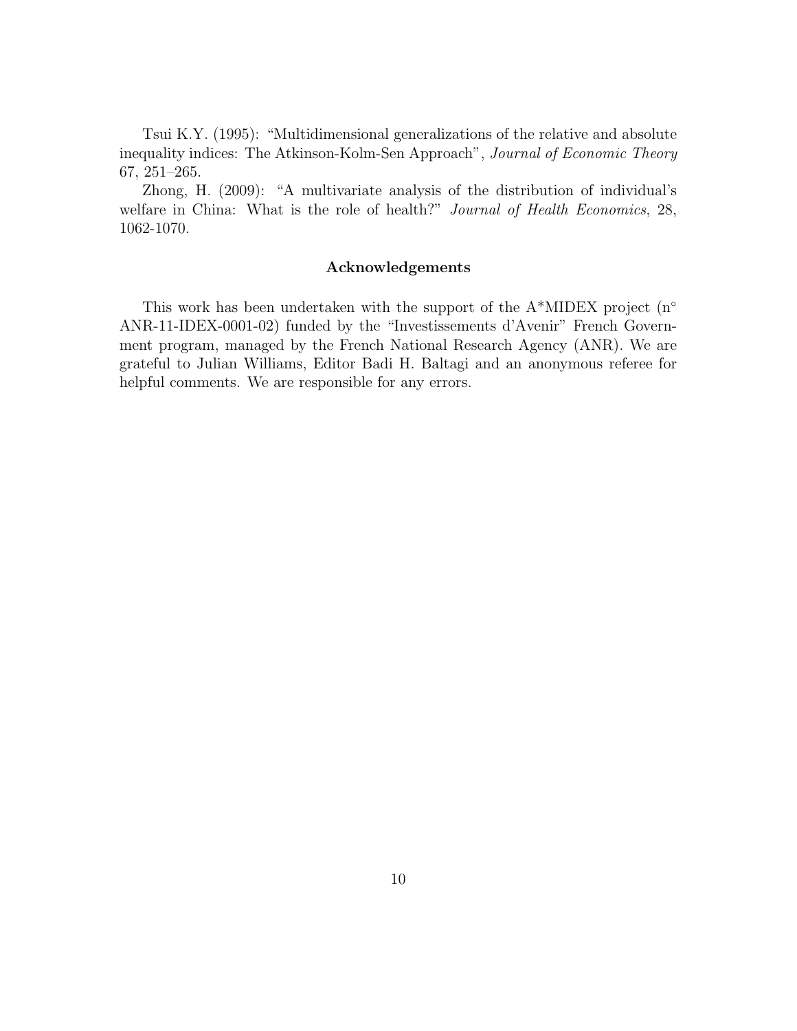Tsui K.Y. (1995): "Multidimensional generalizations of the relative and absolute inequality indices: The Atkinson-Kolm-Sen Approach", Journal of Economic Theory 67, 251–265.

Zhong, H. (2009): "A multivariate analysis of the distribution of individual's welfare in China: What is the role of health?" Journal of Health Economics, 28, 1062-1070.

#### Acknowledgements

This work has been undertaken with the support of the  $A^*MIDEX$  project (n<sup>o</sup> ANR-11-IDEX-0001-02) funded by the "Investissements d'Avenir" French Government program, managed by the French National Research Agency (ANR). We are grateful to Julian Williams, Editor Badi H. Baltagi and an anonymous referee for helpful comments. We are responsible for any errors.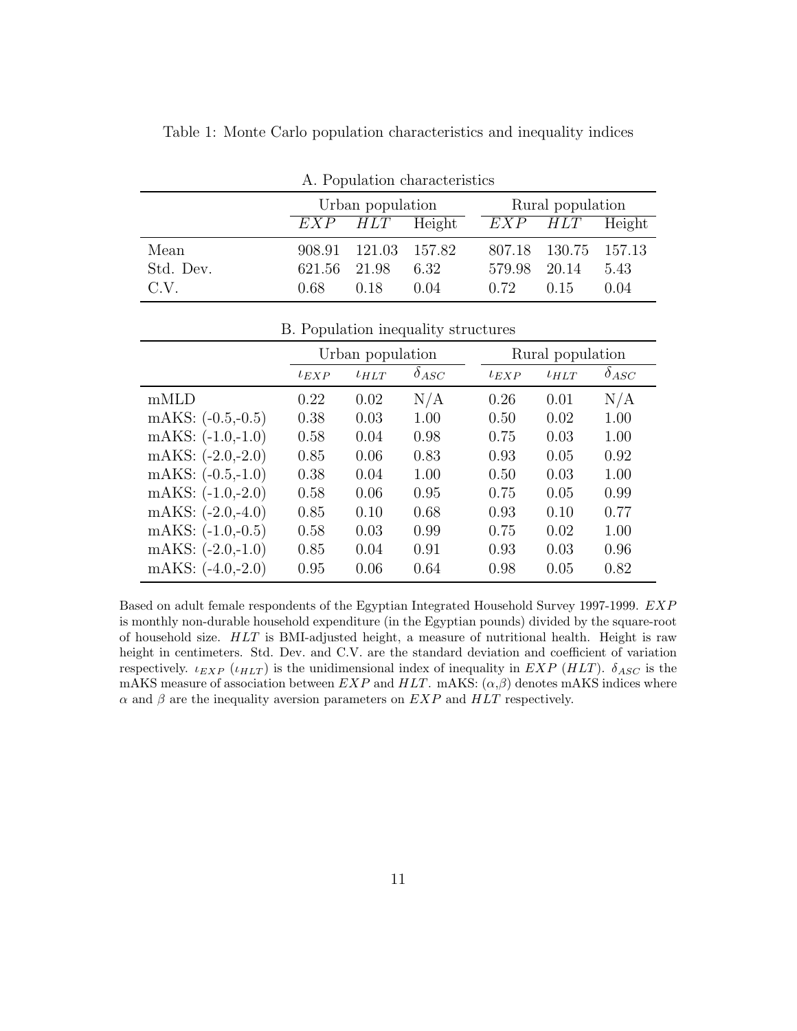| A. Population characteristics |                  |                      |      |                  |                      |      |  |
|-------------------------------|------------------|----------------------|------|------------------|----------------------|------|--|
|                               | Urban population |                      |      | Rural population |                      |      |  |
|                               |                  | $EXP$ $HLT$ Height   |      |                  | $EXP$ $HLT$ Height   |      |  |
| Mean                          |                  | 908.91 121.03 157.82 |      |                  | 807.18 130.75 157.13 |      |  |
| Std. Dev.                     | 621.56 21.98     |                      | 6.32 | 579.98 20.14     |                      | 5.43 |  |
| C.V.                          | 0.68             | 0.18                 | 0.04 | 0.72             | 0.15                 | 0.04 |  |

Table 1: Monte Carlo population characteristics and inequality indices

| B. Population inequality structures |  |
|-------------------------------------|--|
|                                     |  |

|                     | Urban population      |      |                | Rural population      |      |                |
|---------------------|-----------------------|------|----------------|-----------------------|------|----------------|
|                     | $l$ <sub>E</sub> $XP$ | lHLT | $\delta_{ASC}$ | $l$ <sub>E</sub> $XP$ | lHLT | $\delta_{ASC}$ |
| mMLD                | 0.22                  | 0.02 | N/A            | 0.26                  | 0.01 | N/A            |
| mAKS: $(-0.5,-0.5)$ | 0.38                  | 0.03 | 1.00           | 0.50                  | 0.02 | 1.00           |
| mAKS: $(-1.0,-1.0)$ | 0.58                  | 0.04 | 0.98           | 0.75                  | 0.03 | 1.00           |
| mAKS: $(-2.0,-2.0)$ | 0.85                  | 0.06 | 0.83           | 0.93                  | 0.05 | 0.92           |
| mAKS: $(-0.5,-1.0)$ | 0.38                  | 0.04 | 1.00           | 0.50                  | 0.03 | 1.00           |
| mAKS: $(-1.0,-2.0)$ | 0.58                  | 0.06 | 0.95           | 0.75                  | 0.05 | 0.99           |
| mAKS: $(-2.0,-4.0)$ | 0.85                  | 0.10 | 0.68           | 0.93                  | 0.10 | 0.77           |
| mAKS: $(-1.0,-0.5)$ | 0.58                  | 0.03 | 0.99           | 0.75                  | 0.02 | 1.00           |
| mAKS: $(-2.0,-1.0)$ | 0.85                  | 0.04 | 0.91           | 0.93                  | 0.03 | 0.96           |
| mAKS: $(-4.0,-2.0)$ | 0.95                  | 0.06 | 0.64           | 0.98                  | 0.05 | 0.82           |

Based on adult female respondents of the Egyptian Integrated Household Survey 1997-1999. EXP is monthly non-durable household expenditure (in the Egyptian pounds) divided by the square-root of household size. HLT is BMI-adjusted height, a measure of nutritional health. Height is raw height in centimeters. Std. Dev. and C.V. are the standard deviation and coefficient of variation respectively.  $\iota_{EXP}$  ( $\iota_{HLT}$ ) is the unidimensional index of inequality in EXP (HLT).  $\delta_{ASC}$  is the mAKS measure of association between  $EXP$  and  $HLT$ . mAKS:  $(\alpha, \beta)$  denotes mAKS indices where  $\alpha$  and  $\beta$  are the inequality aversion parameters on  $EXP$  and  $HLT$  respectively.